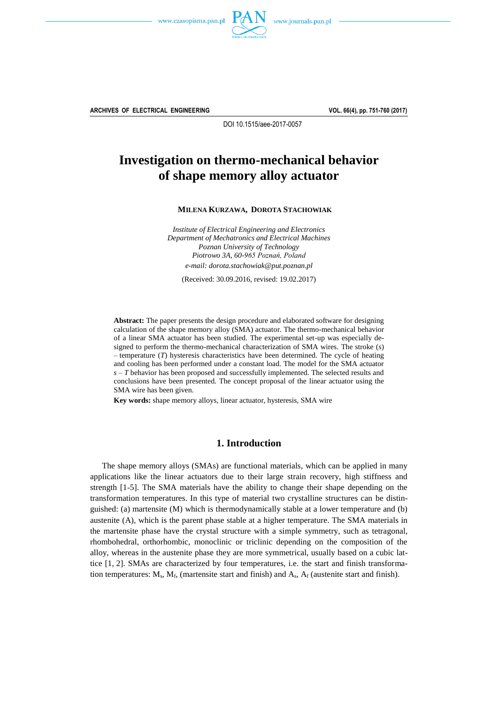



**ARCHIVES OF ELECTRICAL ENGINEERING VOL. 66(4), pp. 751-760 (2017)**

DOI 10.1515/aee-2017-0057

# **Investigation on thermo-mechanical behavior of shape memory alloy actuator**

**MILENA KURZAWA, DOROTA STACHOWIAK**

*Institute of Electrical Engineering and Electronics Department of Mechatronics and Electrical Machines Poznan University of Technology Piotrowo 3A, 60-965 Poznań, Poland e-mail: dorota.stachowiak@put.poznan.pl*

(Received: 30.09.2016, revised: 19.02.2017)

**Abstract:** The paper presents the design procedure and elaborated software for designing calculation of the shape memory alloy (SMA) actuator. The thermo-mechanical behavior of a linear SMA actuator has been studied. The experimental set-up was especially designed to perform the thermo-mechanical characterization of SMA wires. The stroke (*s*) – temperature (*T*) hysteresis characteristics have been determined. The cycle of heating and cooling has been performed under a constant load. The model for the SMA actuator *s* – *T* behavior has been proposed and successfully implemented. The selected results and conclusions have been presented. The concept proposal of the linear actuator using the SMA wire has been given.

**Key words:** shape memory alloys, linear actuator, hysteresis, SMA wire

## **1. Introduction**

The shape memory alloys (SMAs) are functional materials, which can be applied in many applications like the linear actuators due to their large strain recovery, high stiffness and strength [15]. The SMA materials have the ability to change their shape depending on the transformation temperatures. In this type of material two crystalline structures can be distinguished: (a) martensite (M) which is thermodynamically stable at a lower temperature and (b) austenite (A), which is the parent phase stable at a higher temperature. The SMA materials in the martensite phase have the crystal structure with a simple symmetry, such as tetragonal, rhombohedral, orthorhombic, monoclinic or triclinic depending on the composition of the alloy, whereas in the austenite phase they are more symmetrical, usually based on a cubic lattice [1, 2]. SMAs are characterized by four temperatures, i.e. the start and finish transformation temperatures:  $M_s$ ,  $M_f$ , (martensite start and finish) and  $A_s$ ,  $A_f$  (austenite start and finish).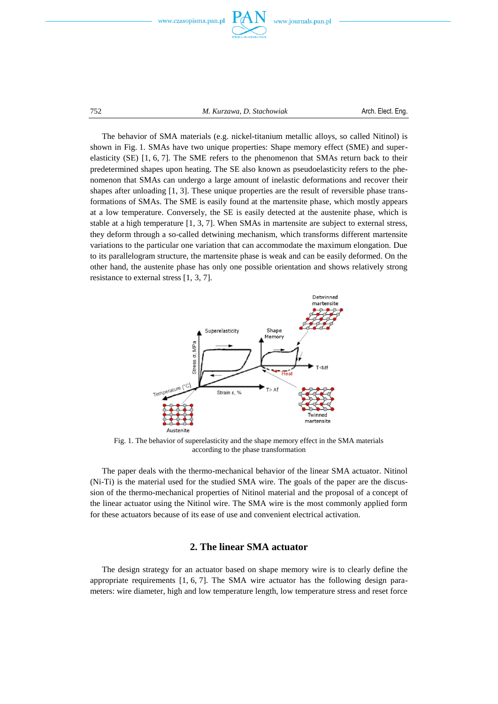

752 *M. Kurzawa, D. Stachowiak* Arch. Elect. Eng.

The behavior of SMA materials (e.g. nickel-titanium metallic alloys, so called Nitinol) is shown in Fig. 1. SMAs have two unique properties: Shape memory effect (SME) and superelasticity (SE) [1, 6, 7]. The SME refers to the phenomenon that SMAs return back to their predetermined shapes upon heating. The SE also known as pseudoelasticity refers to the phenomenon that SMAs can undergo a large amount of inelastic deformations and recover their shapes after unloading [1, 3]. These unique properties are the result of reversible phase transformations of SMAs. The SME is easily found at the martensite phase, which mostly appears at a low temperature. Conversely, the SE is easily detected at the austenite phase, which is stable at a high temperature [1, 3, 7]. When SMAs in martensite are subject to external stress, they deform through a so-called detwining mechanism, which transforms different martensite variations to the particular one variation that can accommodate the maximum elongation. Due to its parallelogram structure, the martensite phase is weak and can be easily deformed. On the other hand, the austenite phase has only one possible orientation and shows relatively strong resistance to external stress [1, 3, 7].



Fig. 1. The behavior of superelasticity and the shape memory effect in the SMA materials according to the phase transformation

The paper deals with the thermo-mechanical behavior of the linear SMA actuator. Nitinol (Ni-Ti) is the material used for the studied SMA wire. The goals of the paper are the discussion of the thermo-mechanical properties of Nitinol material and the proposal of a concept of the linear actuator using the Nitinol wire. The SMA wire is the most commonly applied form for these actuators because of its ease of use and convenient electrical activation.

# **2. The linear SMA actuator**

The design strategy for an actuator based on shape memory wire is to clearly define the appropriate requirements [1, 6, 7]. The SMA wire actuator has the following design parameters: wire diameter, high and low temperature length, low temperature stress and reset force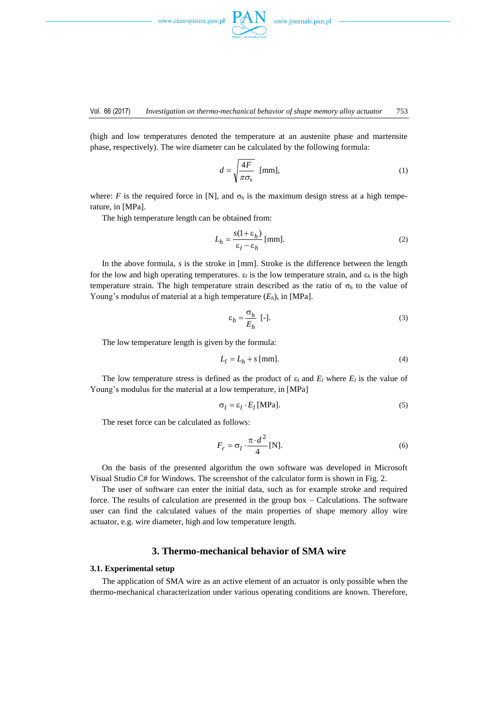

(high and low temperatures denoted the temperature at an austenite phase and martensite phase, respectively). The wire diameter can be calculated by the following formula:

$$
d = \sqrt{\frac{4F}{\pi \sigma_h}} \text{ [mm]},\tag{1}
$$

where: *F* is the required force in [N], and  $\sigma_h$  is the maximum design stress at a high temperature, in [MPa].

The high temperature length can be obtained from:

$$
L_h = \frac{s(1 + \varepsilon_h)}{\varepsilon_l - \varepsilon_h} \text{[mm]}.
$$
 (2)

In the above formula, *s* is the stroke in [mm]. Stroke is the difference between the length for the low and high operating temperatures.  $\varepsilon_l$  is the low temperature strain, and  $\varepsilon_h$  is the high temperature strain. The high temperature strain described as the ratio of  $\sigma_h$  to the value of Young's modulus of material at a high temperature (*Eh*), in [MPa].

$$
\varepsilon_h = \frac{\sigma_h}{E_h} \quad [-]. \tag{3}
$$

The low temperature length is given by the formula:

$$
L_l = L_h + s \, \text{[mm]}.\tag{4}
$$

The low temperature stress is defined as the product of  $\varepsilon_l$  and  $E_l$  where  $E_l$  is the value of Young's modulus for the material at a low temperature, in [MPa]

$$
\sigma_l = \varepsilon_l \cdot E_l \,\text{[MPa]}.
$$
\n<sup>(5)</sup>

The reset force can be calculated as follows:

$$
F_r = \sigma_l \cdot \frac{\pi \cdot d^2}{4} \text{[N]}.
$$

On the basis of the presented algorithm the own software was developed in Microsoft Visual Studio C# for Windows. The screenshot of the calculator form is shown in Fig. 2.

The user of software can enter the initial data, such as for example stroke and required force. The results of calculation are presented in the group box – Calculations. The software user can find the calculated values of the main properties of shape memory alloy wire actuator, e.g. wire diameter, high and low temperature length.

## **3. Thermo-mechanical behavior of SMA wire**

#### **3.1. Experimental setup**

The application of SMA wire as an active element of an actuator is only possible when the thermo-mechanical characterization under various operating conditions are known. Therefore,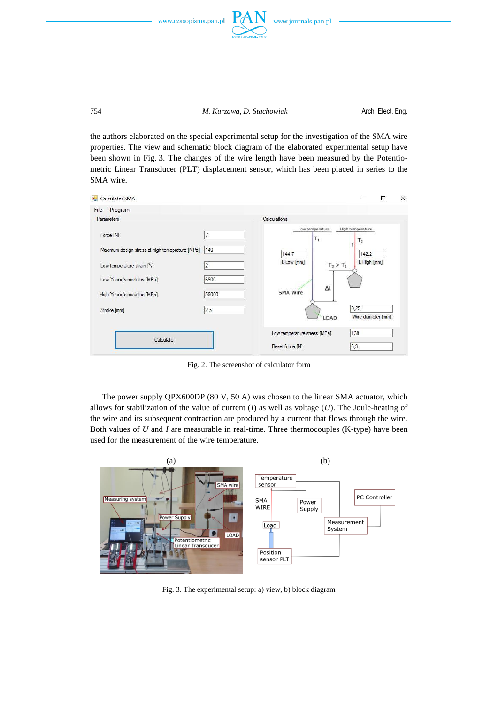



754 *M. Kurzawa, D. Stachowiak* Arch. Elect. Eng.

the authors elaborated on the special experimental setup for the investigation of the SMA wire properties. The view and schematic block diagram of the elaborated experimental setup have been shown in Fig. 3. The changes of the wire length have been measured by the Potentiometric Linear Transducer (PLT) displacement sensor, which has been placed in series to the SMA wire.

| File<br>Program                                 |       |                               |                                    |
|-------------------------------------------------|-------|-------------------------------|------------------------------------|
| Parameters                                      |       | Calculations                  |                                    |
| Force [N]                                       | 7     | Low temperature<br>$T_1$      | High temperature<br>T <sub>2</sub> |
| Maximum design stress at high temeprature [MPa] | 140   | 144,7                         | 142,2                              |
| Low temperature strain [%]                      | 2     | L Low [mm]                    | L High [mm]<br>$T_2 > T_1$         |
| Low Young's modulus [MPa]                       | 6900  |                               |                                    |
| High Young's modulus [MPa]                      | 59000 | $\Delta L$<br><b>SMA Wire</b> |                                    |
| Stroke [mm]                                     | 2.5   | LOAD                          | 0.25<br>Wire diameter [mm]         |
|                                                 |       | Low temperature stress [MPa]  | 138                                |
| Calculate                                       |       | Reset force [N]               | 6,9                                |

Fig. 2. The screenshot of calculator form

The power supply QPX600DP (80 V, 50 A) was chosen to the linear SMA actuator, which allows for stabilization of the value of current  $(I)$  as well as voltage  $(U)$ . The Joule-heating of the wire and its subsequent contraction are produced by a current that flows through the wire. Both values of *U* and *I* are measurable in real-time. Three thermocouples (K-type) have been used for the measurement of the wire temperature.



Fig. 3. The experimental setup: a) view, b) block diagram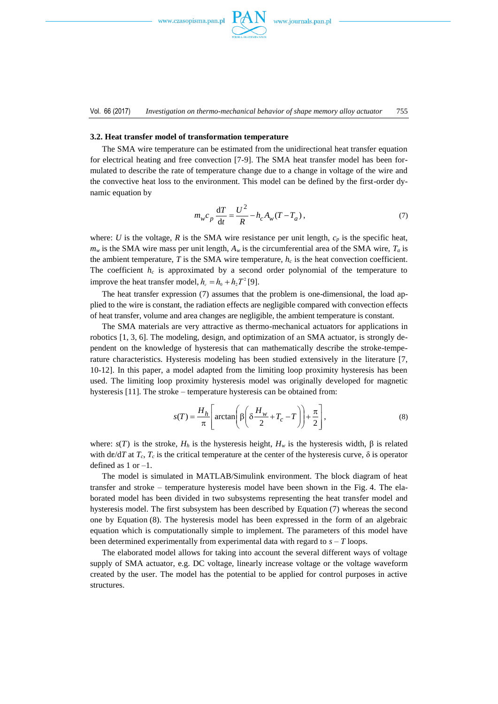

#### **3.2. Heat transfer model of transformation temperature**

The SMA wire temperature can be estimated from the unidirectional heat transfer equation for electrical heating and free convection [7-9]. The SMA heat transfer model has been formulated to describe the rate of temperature change due to a change in voltage of the wire and the convective heat loss to the environment. This model can be defined by the first-order dynamic equation by

$$
m_{w}c_{p}\frac{\mathrm{d}T}{\mathrm{d}t} = \frac{U^{2}}{R} - h_{c}A_{w}(T - T_{a}), \qquad (7)
$$

where: *U* is the voltage, *R* is the SMA wire resistance per unit length,  $c_p$  is the specific heat,  $m<sub>w</sub>$  is the SMA wire mass per unit length,  $A<sub>w</sub>$  is the circumferential area of the SMA wire,  $T<sub>a</sub>$  is the ambient temperature, *T* is the SMA wire temperature,  $h_c$  is the heat convection coefficient. The coefficient  $h_c$  is approximated by a second order polynomial of the temperature to improve the heat transfer model,  $h_c = h_0 + h_2 T^2$  [9].

The heat transfer expression (7) assumes that the problem is one-dimensional, the load applied to the wire is constant, the radiation effects are negligible compared with convection effects of heat transfer, volume and area changes are negligible, the ambient temperature is constant.

The SMA materials are very attractive as thermo-mechanical actuators for applications in robotics [1, 3, 6]. The modeling, design, and optimization of an SMA actuator, is strongly dependent on the knowledge of hysteresis that can mathematically describe the stroke-temperature characteristics. Hysteresis modeling has been studied extensively in the literature [7, 1012]. In this paper, a model adapted from the limiting loop proximity hysteresis has been used. The limiting loop proximity hysteresis model was originally developed for magnetic hysteresis [11]. The stroke – temperature hysteresis can be obtained from:

$$
s(T) = \frac{H_h}{\pi} \left[ \arctan\left( \beta \left( \delta \frac{H_w}{2} + T_c - T \right) \right) + \frac{\pi}{2} \right],
$$
 (8)

where:  $s(T)$  is the stroke,  $H_h$  is the hysteresis height,  $H_w$  is the hysteresis width,  $\beta$  is related with de/d*T* at  $T_c$ ,  $T_c$  is the critical temperature at the center of the hysteresis curve,  $\delta$  is operator defined as 1 or –1.

The model is simulated in MATLAB/Simulink environment. The block diagram of heat transfer and stroke – temperature hysteresis model have been shown in the Fig. 4. The elaborated model has been divided in two subsystems representing the heat transfer model and hysteresis model. The first subsystem has been described by Equation (7) whereas the second one by Equation (8). The hysteresis model has been expressed in the form of an algebraic equation which is computationally simple to implement. The parameters of this model have been determined experimentally from experimental data with regard to *s* – *T* loops.

The elaborated model allows for taking into account the several different ways of voltage supply of SMA actuator, e.g. DC voltage, linearly increase voltage or the voltage waveform created by the user. The model has the potential to be applied for control purposes in active structures.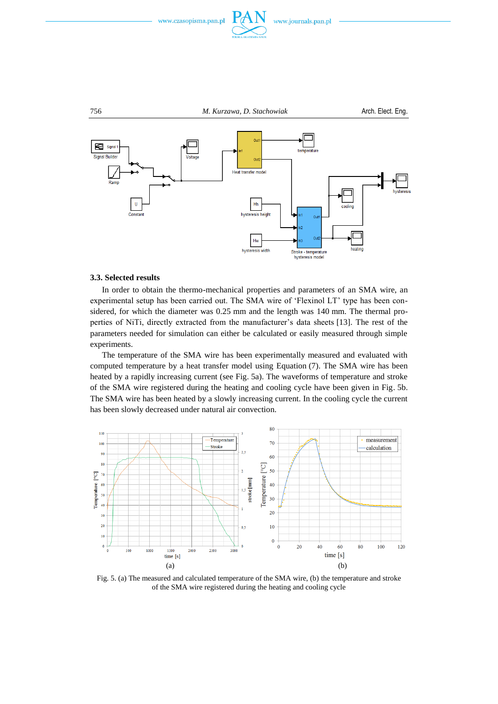





### **3.3. Selected results**

In order to obtain the thermo-mechanical properties and parameters of an SMA wire, an experimental setup has been carried out. The SMA wire of 'Flexinol LT' type has been considered, for which the diameter was 0.25 mm and the length was 140 mm. The thermal properties of NiTi, directly extracted from the manufacturer's data sheets [13]. The rest of the parameters needed for simulation can either be calculated or easily measured through simple experiments.

The temperature of the SMA wire has been experimentally measured and evaluated with computed temperature by a heat transfer model using Equation (7). The SMA wire has been heated by a rapidly increasing current (see Fig. 5a). The waveforms of temperature and stroke of the SMA wire registered during the heating and cooling cycle have been given in Fig. 5b. The SMA wire has been heated by a slowly increasing current. In the cooling cycle the current has been slowly decreased under natural air convection.



Fig. 5. (a) The measured and calculated temperature of the SMA wire, (b) the temperature and stroke of the SMA wire registered during the heating and cooling cycle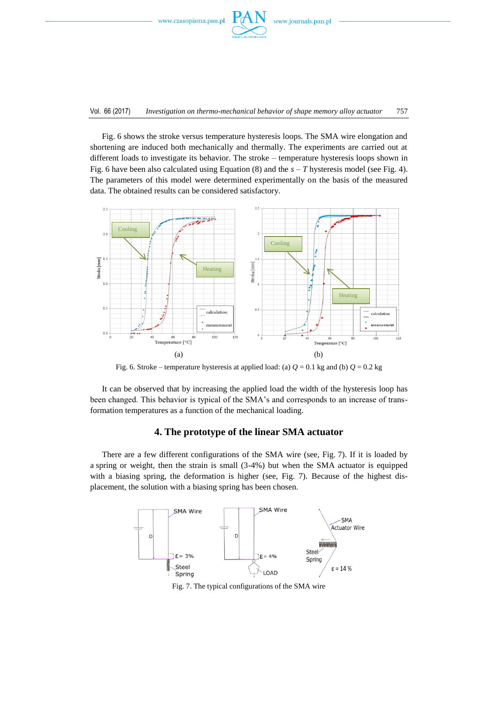

Fig. 6 shows the stroke versus temperature hysteresis loops. The SMA wire elongation and shortening are induced both mechanically and thermally. The experiments are carried out at different loads to investigate its behavior. The stroke – temperature hysteresis loops shown in Fig. 6 have been also calculated using Equation (8) and the  $s - T$  hysteresis model (see Fig. 4). The parameters of this model were determined experimentally on the basis of the measured data. The obtained results can be considered satisfactory.



Fig. 6. Stroke – temperature hysteresis at applied load: (a)  $Q = 0.1$  kg and (b)  $Q = 0.2$  kg

It can be observed that by increasing the applied load the width of the hysteresis loop has been changed. This behavior is typical of the SMA's and corresponds to an increase of transformation temperatures as a function of the mechanical loading.

## **4. The prototype of the linear SMA actuator**

There are a few different configurations of the SMA wire (see, Fig. 7). If it is loaded by a spring or weight, then the strain is small (3-4%) but when the SMA actuator is equipped with a biasing spring, the deformation is higher (see, Fig. 7). Because of the highest displacement, the solution with a biasing spring has been chosen.



Fig. 7. The typical configurations of the SMA wire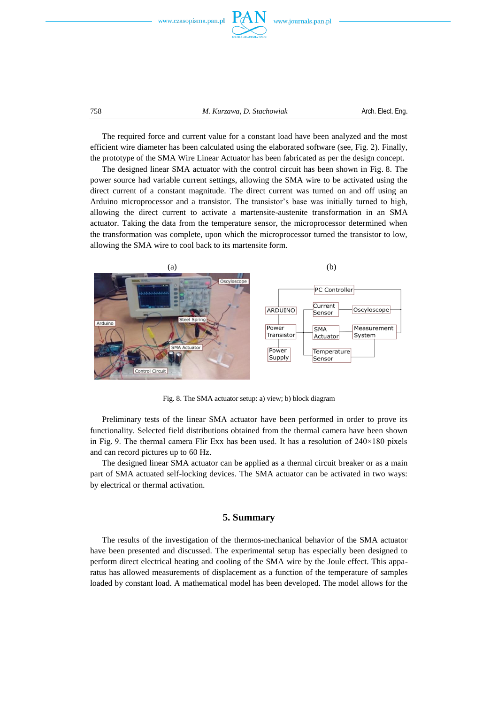



758 *M. Kurzawa, D. Stachowiak* Arch. Elect. Eng.

The required force and current value for a constant load have been analyzed and the most efficient wire diameter has been calculated using the elaborated software (see, Fig. 2). Finally, the prototype of the SMA Wire Linear Actuator has been fabricated as per the design concept.

The designed linear SMA actuator with the control circuit has been shown in Fig. 8. The power source had variable current settings, allowing the SMA wire to be activated using the direct current of a constant magnitude. The direct current was turned on and off using an Arduino microprocessor and a transistor. The transistor's base was initially turned to high, allowing the direct current to activate a martensite-austenite transformation in an SMA actuator. Taking the data from the temperature sensor, the microprocessor determined when the transformation was complete, upon which the microprocessor turned the transistor to low, allowing the SMA wire to cool back to its martensite form.



Fig. 8. The SMA actuator setup: a) view; b) block diagram

Preliminary tests of the linear SMA actuator have been performed in order to prove its functionality. Selected field distributions obtained from the thermal camera have been shown in Fig. 9. The thermal camera Flir Exx has been used. It has a resolution of  $240\times180$  pixels and can record pictures up to 60 Hz.

The designed linear SMA actuator can be applied as a thermal circuit breaker or as a main part of SMA actuated self-locking devices. The SMA actuator can be activated in two ways: by electrical or thermal activation.

## **5. Summary**

The results of the investigation of the thermos-mechanical behavior of the SMA actuator have been presented and discussed. The experimental setup has especially been designed to perform direct electrical heating and cooling of the SMA wire by the Joule effect. This apparatus has allowed measurements of displacement as a function of the temperature of samples loaded by constant load. A mathematical model has been developed. The model allows for the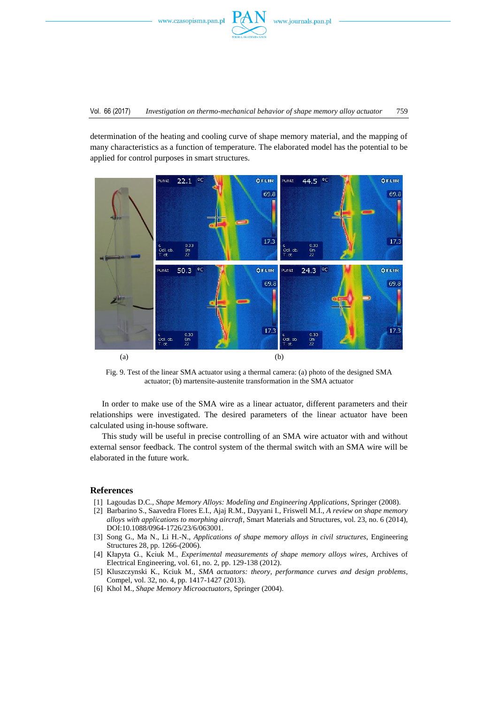

determination of the heating and cooling curve of shape memory material, and the mapping of many characteristics as a function of temperature. The elaborated model has the potential to be applied for control purposes in smart structures.



Fig. 9. Test of the linear SMA actuator using a thermal camera: (a) photo of the designed SMA actuator; (b) martensite-austenite transformation in the SMA actuator

In order to make use of the SMA wire as a linear actuator, different parameters and their relationships were investigated. The desired parameters of the linear actuator have been calculated using in-house software.

This study will be useful in precise controlling of an SMA wire actuator with and without external sensor feedback. The control system of the thermal switch with an SMA wire will be elaborated in the future work.

## **References**

- [1] Lagoudas D.C., *Shape Memory Alloys: Modeling and Engineering Applications*, Springer (2008).
- [2] Barbarino S., Saavedra Flores E.I., Ajaj R.M., Dayyani I., Friswell M.I., *A review on shape memory alloys with applications to morphing aircraft*, Smart Materials and Structures, vol. 23, no. 6 (2014), DOI:10.1088/0964-1726/23/6/063001.
- [3] Song G., Ma N., Li H.-N., *Applications of shape memory alloys in civil structures*, Engineering Structures 28, pp. 1266-(2006).
- [4] Kłapyta G., Kciuk M., *Experimental measurements of shape memory alloys wires*, Archives of Electrical Engineering, vol. 61, no. 2, pp. 129-138 (2012).
- [5] Kluszczynski K., Kciuk M., *SMA actuators: theory, performance curves and design problems*, Compel, vol. 32, no. 4, pp. 1417-1427 (2013).
- [6] Khol M., *Shape Memory Microactuators*, Springer (2004).